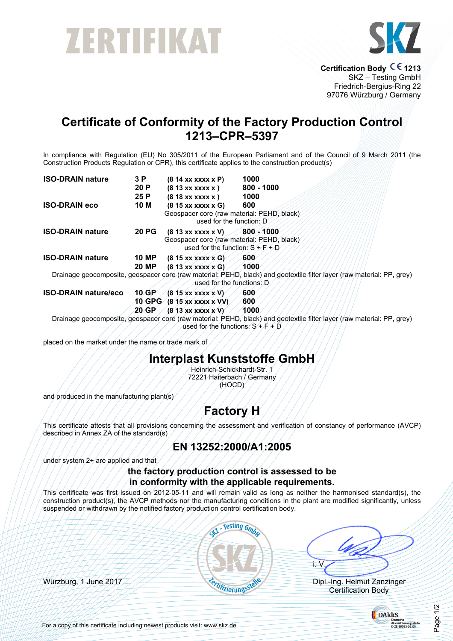# ZERTIFIKAT



**Certification Body CE 1213** SKZ – Testing GmbH Friedrich-Bergius-Ring 22 97076 Würzburg / Germany

# **Certificate of Conformity of the Factory Production Control 1213–CPR–5397**

In compliance with Regulation (EU) No 305/2011 of the European Parliament and of the Council of 9 March 2011 (the Construction Products Regulation or CPR), this certificate applies to the construction product(s)

| <b>ISO-DRAIN nature</b>     | 3 P          | $(814$ xx xxxx x P)                                                                                     | 1000                                                                                                                   |
|-----------------------------|--------------|---------------------------------------------------------------------------------------------------------|------------------------------------------------------------------------------------------------------------------------|
|                             | 20 P         | $(813$ xx xxxx x $)$                                                                                    | $800 - 1000$                                                                                                           |
|                             | 25 P         | $(818$ xx xxxx x $)$                                                                                    | 1000                                                                                                                   |
| <b>ISO-DRAIN eco</b>        | 10 M         | $(815$ xx xxxx x G)                                                                                     | 600                                                                                                                    |
|                             |              | Geospacer core (raw material: PEHD, black)<br>used for the function: D                                  |                                                                                                                        |
| <b>ISO-DRAIN nature</b>     | <b>20 PG</b> | $(813$ xx xxxx x V)<br>Geospacer core (raw material: PEHD, black)<br>used for the function: $S + F + D$ | 800 - 1000                                                                                                             |
| <b>ISO-DRAIN nature</b>     | <b>10 MP</b> | $(815$ xx xxxx x G)                                                                                     | <b>600</b>                                                                                                             |
|                             | <b>20 MP</b> | $(813$ xx xxxx x G)                                                                                     | 1000                                                                                                                   |
|                             |              | used for the functions: D                                                                               | Drainage geocomposite, geospacer core (raw material: PEHD, black) and geotextile filter layer (raw material: PP, grey) |
| <b>ISO-DRAIN nature/eco</b> | $10$ GP      | $(815$ xx xxxx x V)                                                                                     | <b>600</b>                                                                                                             |
|                             | 10 GPG       | $(815$ xx xxxx x VV)                                                                                    | <b>600</b>                                                                                                             |
|                             | 20 GP        | $(813$ xx xxxx x V)                                                                                     | 1000                                                                                                                   |

Drainage geocomposite, geospacer core (raw material: PEHD, black) and geotextile filter layer (raw material: PP, grey) used for the functions:  $S + F + D$ 

placed on the market under the name or trade mark of

#### **Interplast Kunststoffe GmbH**

Heinrich-Schickhardt-Str. 1 72221 Haiterbach / Germany (HOCD)

and produced in the manufacturing plant(s)

# **Factory H**

This certificate attests that all provisions concerning the assessment and verification of constancy of performance (AVCP) described in Annex ZA of the standard(s)

#### **EN 13252:2000/A1:2005**

under system 2+ are applied and that

#### **the factory production control is assessed to be in conformity with the applicable requirements.**

This certificate was first issued on 2012-05-11 and will remain valid as long as neither the harmonised standard(s), the construction product(s), the AVCP methods nor the manufacturing conditions in the plant are modified significantly, unless suspended or withdrawn by the notified factory production control certification body.



Certification Body



For a copy of this certificate including newest products visit: www.skz.de